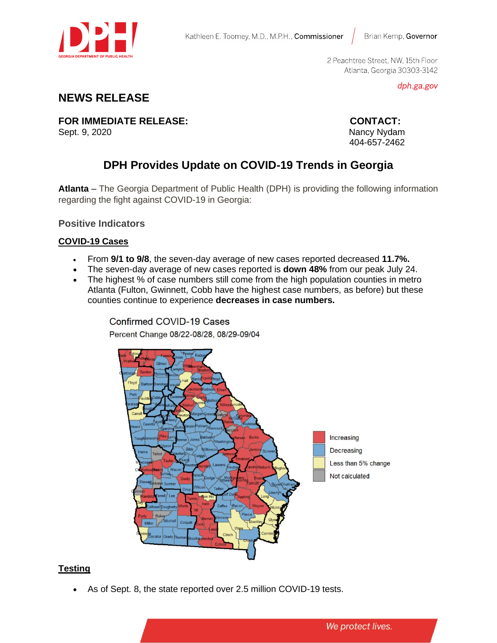

Brian Kemp, Governor

2 Peachtree Street, NW, 15th Floor Atlanta, Georgia 30303-3142

dph.ga.gov

## **NEWS RELEASE**

**FOR IMMEDIATE RELEASE: CONTACT:** Sept. 9, 2020Nancy Nydam

404-657-2462

# **DPH Provides Update on COVID-19 Trends in Georgia**

**Atlanta** – The Georgia Department of Public Health (DPH) is providing the following information regarding the fight against COVID-19 in Georgia:

**Positive Indicators**

#### **COVID-19 Cases**

- From **9/1 to 9/8**, the seven-day average of new cases reported decreased **11.7%.**
- The seven-day average of new cases reported is **down 48%** from our peak July 24.
- The highest % of case numbers still come from the high population counties in metro Atlanta (Fulton, Gwinnett, Cobb have the highest case numbers, as before) but these counties continue to experience **decreases in case numbers.**

Confirmed COVID-19 Cases Percent Change 08/22-08/28, 08/29-09/04



#### **Testing**

As of Sept. 8, the state reported over 2.5 million COVID-19 tests.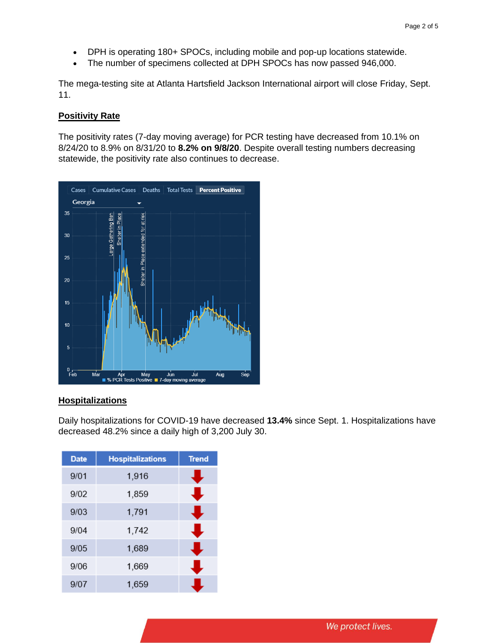- DPH is operating 180+ SPOCs, including mobile and pop-up locations statewide.
- The number of specimens collected at DPH SPOCs has now passed 946,000.

The mega-testing site at Atlanta Hartsfield Jackson International airport will close Friday, Sept. 11.

#### **Positivity Rate**

The positivity rates (7-day moving average) for PCR testing have decreased from 10.1% on 8/24/20 to 8.9% on 8/31/20 to **8.2% on 9/8/20**. Despite overall testing numbers decreasing statewide, the positivity rate also continues to decrease.



#### **Hospitalizations**

Daily hospitalizations for COVID-19 have decreased **13.4%** since Sept. 1. Hospitalizations have decreased 48.2% since a daily high of 3,200 July 30.

| <b>Date</b> | <b>Hospitalizations</b> | <b>Trend</b> |
|-------------|-------------------------|--------------|
| 9/01        | 1,916                   |              |
| 9/02        | 1,859                   |              |
| 9/03        | 1,791                   |              |
| 9/04        | 1,742                   |              |
| 9/05        | 1,689                   |              |
| 9/06        | 1,669                   |              |
| 9/07        | 1,659                   |              |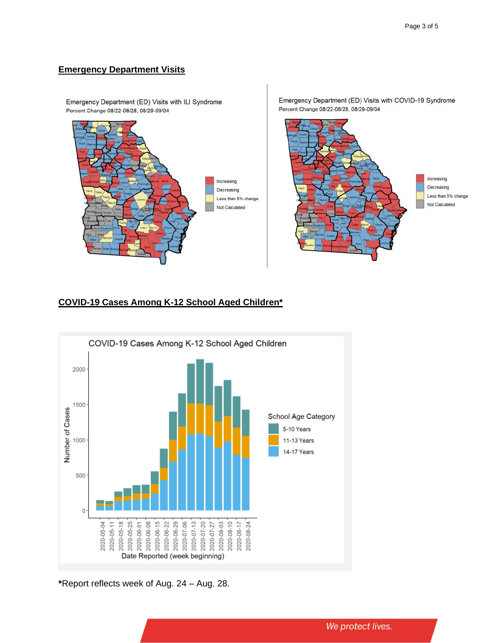#### **Emergency Department Visits**

Emergency Department (ED) Visits with ILI Syndrome Percent Change 08/22-08/28, 08/29-09/04 Increasing Decreasing Less than 5% change Not Calculated

Emergency Department (ED) Visits with COVID-19 Syndrome Percent Change 08/22-08/28, 08/29-09/04



### **COVID-19 Cases Among K-12 School Aged Children\***



**\***Report reflects week of Aug. 24 – Aug. 28.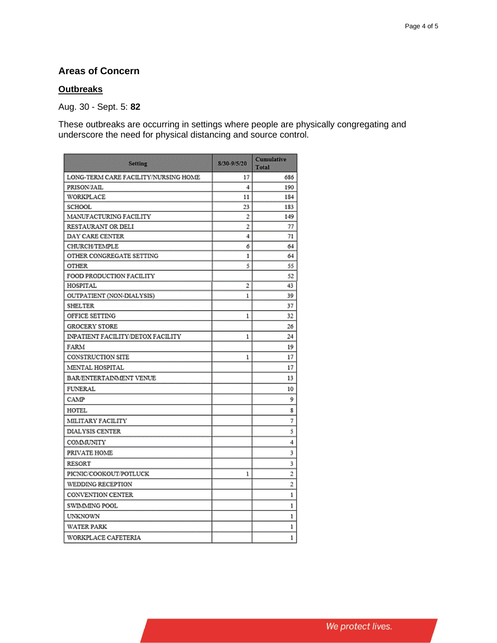## **Areas of Concern**

#### **Outbreaks**

Aug. 30 - Sept. 5: **82**

These outbreaks are occurring in settings where people are physically congregating and underscore the need for physical distancing and source control.

| <b>Setting</b>                       | 8/30-9/5/20    | <b>Cumulative</b><br>Total |
|--------------------------------------|----------------|----------------------------|
| LONG-TERM CARE FACILITY/NURSING HOME | 17             | 686                        |
| PRISON/JAIL                          | 4              | 190                        |
| WORKPLACE                            | 11             | 184                        |
| SCHOOL                               | 23             | 183                        |
| MANUFACTURING FACILITY               | 2              | 149                        |
| RESTAURANT OR DELI                   | $\overline{2}$ | 77                         |
| DAY CARE CENTER                      | 4              | 71                         |
| CHURCH/TEMPLE                        | 6              | 64                         |
| OTHER CONGREGATE SETTING             | ı              | 64                         |
| <b>OTHER</b>                         | 5              | 55                         |
| FOOD PRODUCTION FACILITY             |                | 52                         |
| HOSPITAL                             | 2              | 43                         |
| OUTPATIENT (NON-DIALYSIS)            | 1              | 39                         |
| SHELTER                              |                | 37                         |
| OFFICE SETTING                       | 1              | 32                         |
| <b>GROCERY STORE</b>                 |                | 26                         |
| INPATIENT FACILITY/DETOX FACILITY    | 1              | 24                         |
| FARM                                 |                | 19                         |
| CONSTRUCTION SITE                    | $\mathbf{1}$   | 17                         |
| MENTAL HOSPITAL                      |                | 17                         |
| BAR/ENTERTAINMENT VENUE              |                | 13                         |
| <b>FUNERAL</b>                       |                | 10                         |
| CAMP                                 |                | 9                          |
| HOTEL                                |                | 8                          |
| MILITARY FACILITY                    |                | 7                          |
| <b>DIALYSIS CENTER</b>               |                | 5                          |
| COMMUNITY                            |                | 4                          |
| PRIVATE HOME                         |                | 3                          |
| <b>RESORT</b>                        |                | 3                          |
| PICNIC/COOKOUT/POTLUCK               | 1              | 2                          |
| WEDDING RECEPTION                    |                | 2                          |
| CONVENTION CENTER                    |                | 1                          |
| SWIMMING POOL                        |                | 1                          |
| UNKNOWN                              |                | ı                          |
| <b>WATER PARK</b>                    |                | 1                          |
| WORKPLACE CAFETERIA                  |                | 1                          |